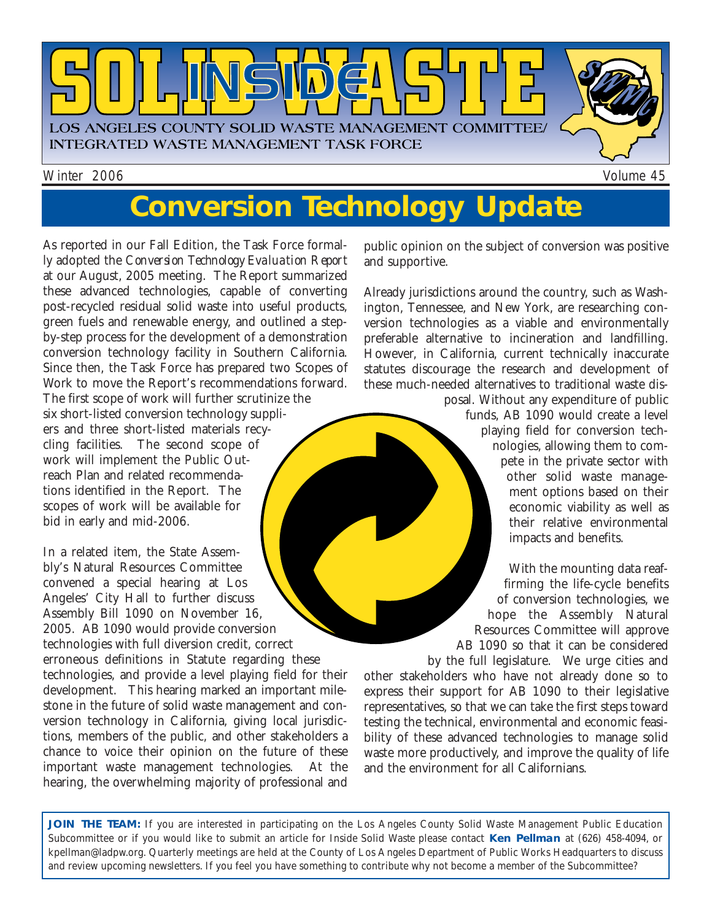

# **Conversion Technology Update**

As reported in our Fall Edition, the Task Force formally adopted the *Conversion Technology Evaluation Report* at our August, 2005 meeting. The Report summarized these advanced technologies, capable of converting post-recycled residual solid waste into useful products, green fuels and renewable energy, and outlined a stepby-step process for the development of a demonstration conversion technology facility in Southern California. Since then, the Task Force has prepared two Scopes of Work to move the Report's recommendations forward. The first scope of work will further scrutinize the six short-listed conversion technology suppliers and three short-listed materials recycling facilities. The second scope of work will implement the Public Outreach Plan and related recommendations identified in the Report. The scopes of work will be available for bid in early and mid-2006.

In a related item, the State Assembly's Natural Resources Committee convened a special hearing at Los Angeles' City Hall to further discuss Assembly Bill 1090 on November 16, 2005. AB 1090 would provide conversion technologies with full diversion credit, correct erroneous definitions in Statute regarding these technologies, and provide a level playing field for their development. This hearing marked an important milestone in the future of solid waste management and conversion technology in California, giving local jurisdictions, members of the public, and other stakeholders a chance to voice their opinion on the future of these important waste management technologies. At the hearing, the overwhelming majority of professional and public opinion on the subject of conversion was positive and supportive.

Already jurisdictions around the country, such as Washington, Tennessee, and New York, are researching conversion technologies as a viable and environmentally preferable alternative to incineration and landfilling. However, in California, current technically inaccurate statutes discourage the research and development of these much-needed alternatives to traditional waste dis-

posal. Without any expenditure of public funds, AB 1090 would create a level playing field for conversion technologies, allowing them to compete in the private sector with other solid waste management options based on their economic viability as well as their relative environmental impacts and benefits.

With the mounting data reaffirming the life-cycle benefits of conversion technologies, we hope the Assembly Natural Resources Committee will approve AB 1090 so that it can be considered by the full legislature. We urge cities and other stakeholders who have not already done so to express their support for AB 1090 to their legislative representatives, so that we can take the first steps toward testing the technical, environmental and economic feasibility of these advanced technologies to manage solid waste more productively, and improve the quality of life and the environment for all Californians.

**JOIN THE TEAM:** If you are interested in participating on the Los Angeles County Solid Waste Management Public Education Subcommittee or if you would like to submit an article for *Inside Solid Waste* please contact **Ken Pellman** at (626) 458-4094, or [kpellman@ladpw.org. Q](mailto://kpellman@ladpw.org)uarterly meetings are held at the County of Los Angeles Department of Public Works Headquarters to discuss and review upcoming newsletters. If you feel you have something to contribute why not become a member of the Subcommittee?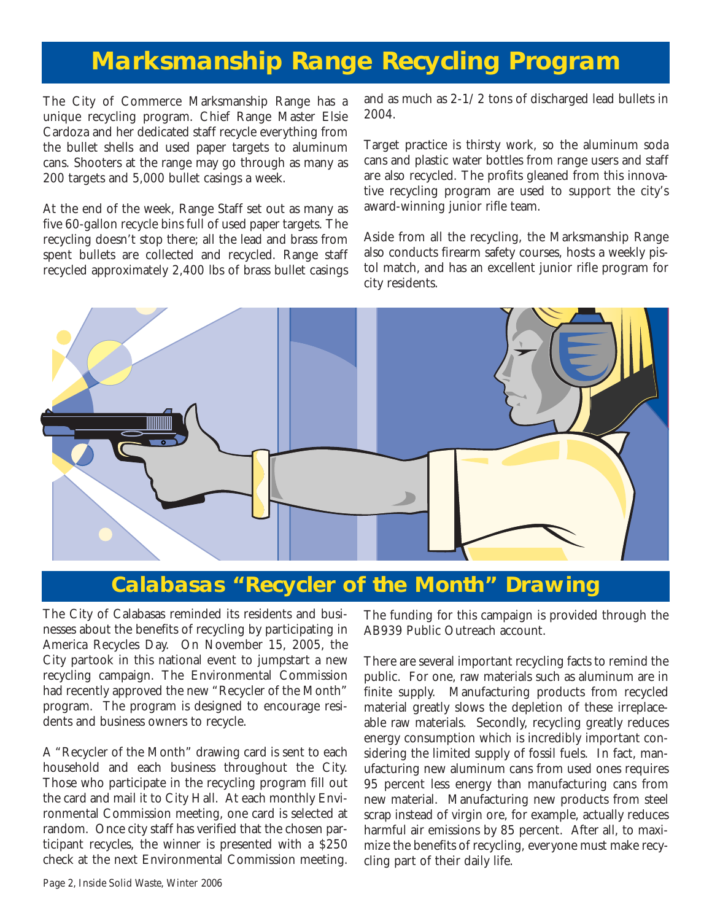## **Marksmanship Range Recycling Program**

The City of Commerce Marksmanship Range has a unique recycling program. Chief Range Master Elsie Cardoza and her dedicated staff recycle everything from the bullet shells and used paper targets to aluminum cans. Shooters at the range may go through as many as 200 targets and 5,000 bullet casings a week.

At the end of the week, Range Staff set out as many as five 60-gallon recycle bins full of used paper targets. The recycling doesn't stop there; all the lead and brass from spent bullets are collected and recycled. Range staff recycled approximately 2,400 lbs of brass bullet casings and as much as 2-1/2 tons of discharged lead bullets in 2004.

Target practice is thirsty work, so the aluminum soda cans and plastic water bottles from range users and staff are also recycled. The profits gleaned from this innovative recycling program are used to support the city's award-winning junior rifle team.

Aside from all the recycling, the Marksmanship Range also conducts firearm safety courses, hosts a weekly pistol match, and has an excellent junior rifle program for city residents.



### **Calabasas "Recycler of the Month" Drawing**

The City of Calabasas reminded its residents and businesses about the benefits of recycling by participating in America Recycles Day. On November 15, 2005, the City partook in this national event to jumpstart a new recycling campaign. The Environmental Commission had recently approved the new "Recycler of the Month" program. The program is designed to encourage residents and business owners to recycle.

A "Recycler of the Month" drawing card is sent to each household and each business throughout the City. Those who participate in the recycling program fill out the card and mail it to City Hall. At each monthly Environmental Commission meeting, one card is selected at random. Once city staff has verified that the chosen participant recycles, the winner is presented with a \$250 check at the next Environmental Commission meeting. The funding for this campaign is provided through the AB939 Public Outreach account.

There are several important recycling facts to remind the public. For one, raw materials such as aluminum are in finite supply. Manufacturing products from recycled material greatly slows the depletion of these irreplaceable raw materials. Secondly, recycling greatly reduces energy consumption which is incredibly important considering the limited supply of fossil fuels. In fact, manufacturing new aluminum cans from used ones requires 95 percent less energy than manufacturing cans from new material. Manufacturing new products from steel scrap instead of virgin ore, for example, actually reduces harmful air emissions by 85 percent. After all, to maximize the benefits of recycling, everyone must make recycling part of their daily life.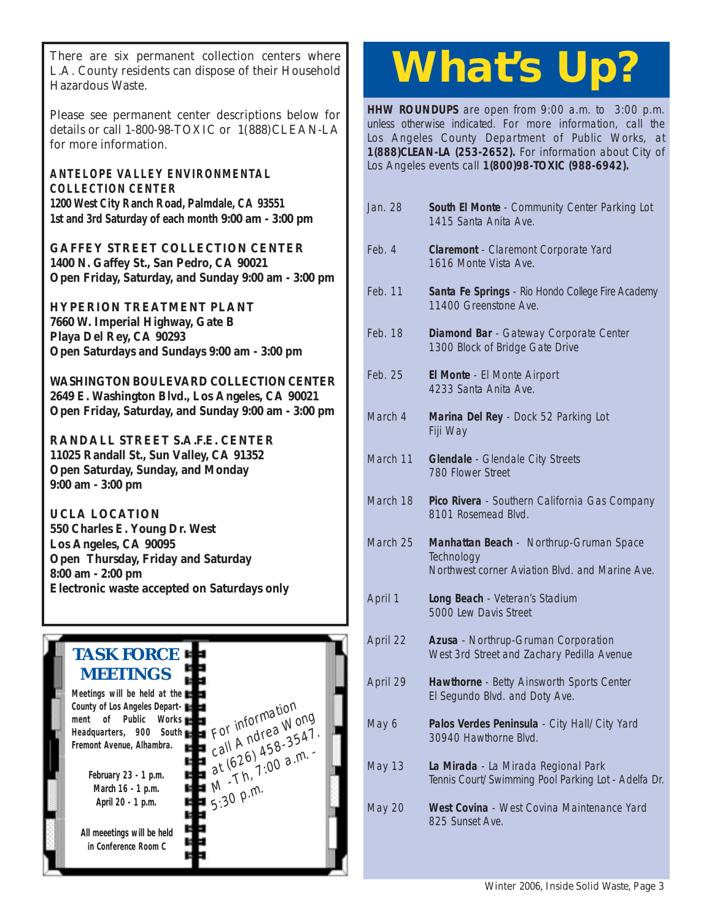There are six permanent collection centers where<br>L.A. County residents can dispose of their Household<br>Herewick Watch L.A. County residents can dispose of their Household Hazardous Waste.

Please see permanent center descriptions below for details or call 1-800-98-TOXIC or 1(888)CLEAN-LA for more information.

**ANTELOPE VALLEY ENVIRONMENTAL COLLECTION CENTER 1200 West City Ranch Road, Palmdale, CA 93551 [1st and 3rd Saturday of each month 9:00 am - 3:00 pm](http://ladpw.org/epd/avecc/index.cfm)**

**GAFFEY STREET COLLECTION CENTER 1400 N. Gaffey St., San Pedro, CA 90021 [Open Friday, Saturday, and Sunday 9:00 am - 3:00 pm](http://www.lacity.org/san/safe-gaffey.htm)**

**HYPERION TREATMENT PLANT 7660 W. Imperial Highway, Gate B Playa Del Rey, CA 90293 [Open Saturdays and Sundays 9:00 am - 3:00 pm](http://www.lacity.org/san/safe-htp.htm)**

**[WASHINGTON BOULEVARD COLLECTION CENTER](http://www.lacity.org/san/safe-washington.htm) 2649 E. Washington Blvd., Los Angeles, CA 90021 Open Friday, Saturday, and Sunday 9:00 am - 3:00 pm**

**[RANDALL STREET S.A.F.E. CENTER](http://www.lacity.org/san/safe-randall.htm) 11025 Randall St., Sun Valley, CA 91352 Open Saturday, Sunday, and Monday 9:00 am - 3:00 pm**

**UCLA LOCATION 550 Charles E. Young Dr. West Los Angeles, CA 90095 Open Thursday, Friday and Saturday 8:00 am - 2:00 pm [Electronic waste accepted on Saturdays only](http://www.lacity.org/san/safe-ucla.htm)**

> For information For informationg<br>call Andrea Wong For Andrea 3547.<br>call Andrea 3547.<br>at (626 1.00 a.m.  $\alpha$  (626) 45-<br>at (626) 1:00 a.m.

 $5:30$  p.m.

## **TASK FORCE MEETINGS**

**Meetings will be held at the County of Los Angeles Department of Public Works Headquarters, 900 South Fremont Avenue, Alhambra.**

> **February 23 - 1 p.m. March 16 - 1 p.m. April 20 - 1 p.m.**

**All meeetings will be held in Conference Room C**

**HHW ROUNDUPS** are open from 9:00 a.m. to 3:00 p.m. [unless otherwise indicated. For more information, call the](http://ladpw.org/general/enotify/Calendar_Template/Calendar.aspx) Los Angeles County Department of Public Works, at **1(888)CLEAN-LA (253-2652).** For information about City of Los Angeles events call **1(800)98-TOXIC (988-6942).**

- Jan. 28 **South El Monte**  Community Center Parking Lot 1415 Santa Anita Ave.
- Feb. 4 **Claremont**  Claremont Corporate Yard 1616 Monte Vista Ave.
- Feb. 11 **Santa Fe Springs**  Rio Hondo College Fire Academy 11400 Greenstone Ave.
- Feb. 18 **Diamond Bar**  Gateway Corporate Center 1300 Block of Bridge Gate Drive
- Feb. 25 **El Monte**  El Monte Airport 4233 Santa Anita Ave.
- March 4 **Marina Del Rey**  Dock 52 Parking Lot Fiji Way
- March 11 **Glendale**  Glendale City Streets 780 Flower Street
- March 18 **Pico Rivera**  Southern California Gas Company 8101 Rosemead Blvd.

March 25 **Manhattan Beach** - Northrup-Gruman Space **Technology** Northwest corner Aviation Blvd. and Marine Ave.

- April 1 **Long Beach**  Veteran's Stadium 5000 Lew Davis Street
- April 22 **Azusa**  Northrup-Gruman Corporation West 3rd Street and Zachary Pedilla Avenue
- April 29 **Hawthorne**  Betty Ainsworth Sports Center El Segundo Blvd. and Doty Ave.
- May 6 **Palos Verdes Peninsula**  City Hall/City Yard 30940 Hawthorne Blvd.
- May 13 **La Mirada**  La Mirada Regional Park Tennis Court/Swimming Pool Parking Lot - Adelfa Dr.
- May 20 **West Covina**  West Covina Maintenance Yard 825 Sunset Ave.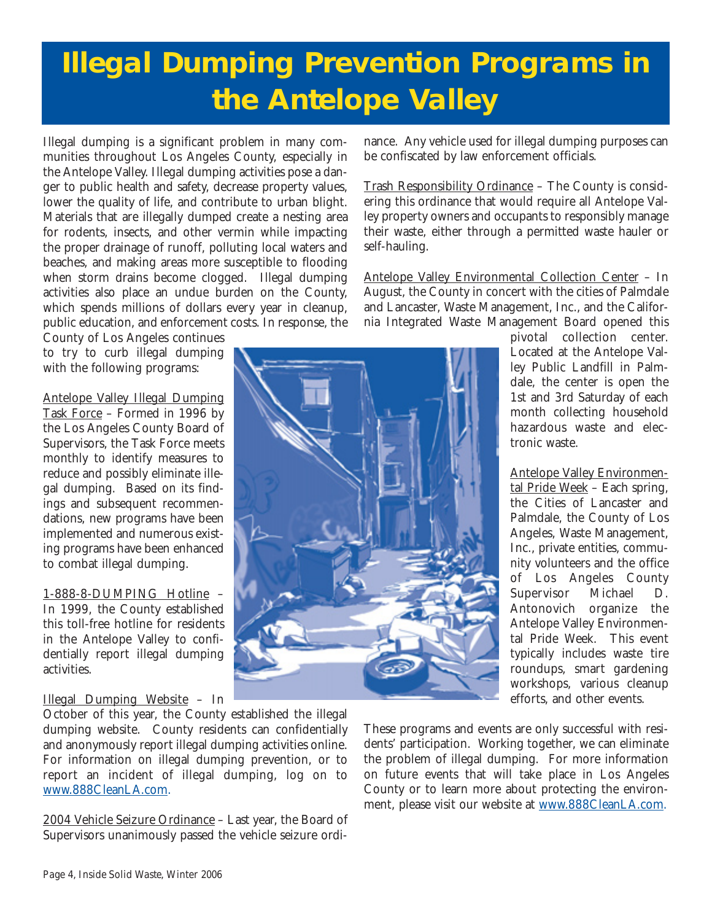## **Illegal Dumping Prevention Programs in the Antelope Valley**

Illegal dumping is a significant problem in many communities throughout Los Angeles County, especially in the Antelope Valley. Illegal dumping activities pose a danger to public health and safety, decrease property values, lower the quality of life, and contribute to urban blight. Materials that are illegally dumped create a nesting area for rodents, insects, and other vermin while impacting the proper drainage of runoff, polluting local waters and beaches, and making areas more susceptible to flooding when storm drains become clogged. Illegal dumping activities also place an undue burden on the County, which spends millions of dollars every year in cleanup, public education, and enforcement costs. In response, the County of Los Angeles continues

to try to curb illegal dumping with the following programs:

Antelope Valley Illegal Dumping Task Force – Formed in 1996 by the Los Angeles County Board of Supervisors, the Task Force meets monthly to identify measures to reduce and possibly eliminate illegal dumping. Based on its findings and subsequent recommendations, new programs have been implemented and numerous existing programs have been enhanced to combat illegal dumping.

1-888-8-DUMPING Hotline – In 1999, the County established this toll-free hotline for residents in the Antelope Valley to confidentially report illegal dumping activities.

#### Illegal Dumping Website – In

October of this year, the County established the illegal dumping website. County residents can confidentially and anonymously report illegal dumping activities online. For information on illegal dumping prevention, or to report an incident of illegal dumping, log on to [www.888CleanLA.com.](http://www.888CleanLA.com)

2004 Vehicle Seizure Ordinance – Last year, the Board of Supervisors unanimously passed the vehicle seizure ordinance. Any vehicle used for illegal dumping purposes can be confiscated by law enforcement officials.

Trash Responsibility Ordinance – The County is considering this ordinance that would require all Antelope Valley property owners and occupants to responsibly manage their waste, either through a permitted waste hauler or self-hauling.

Antelope Valley Environmental Collection Center – In August, the County in concert with the cities of Palmdale and Lancaster, Waste Management, Inc., and the California Integrated Waste Management Board opened this

> pivotal collection center. Located at the Antelope Valley Public Landfill in Palmdale, the center is open the 1st and 3rd Saturday of each month collecting household hazardous waste and electronic waste.

Antelope Valley Environmental Pride Week – Each spring, the Cities of Lancaster and Palmdale, the County of Los Angeles, Waste Management, Inc., private entities, community volunteers and the office of Los Angeles County Supervisor Michael D. Antonovich organize the Antelope Valley Environmental Pride Week. This event typically includes waste tire roundups, smart gardening workshops, various cleanup efforts, and other events.

These programs and events are only successful with residents' participation. Working together, we can eliminate the problem of illegal dumping. For more information on future events that will take place in Los Angeles County or to learn more about protecting the environment, please visit our website at www.888CleanLA.com.

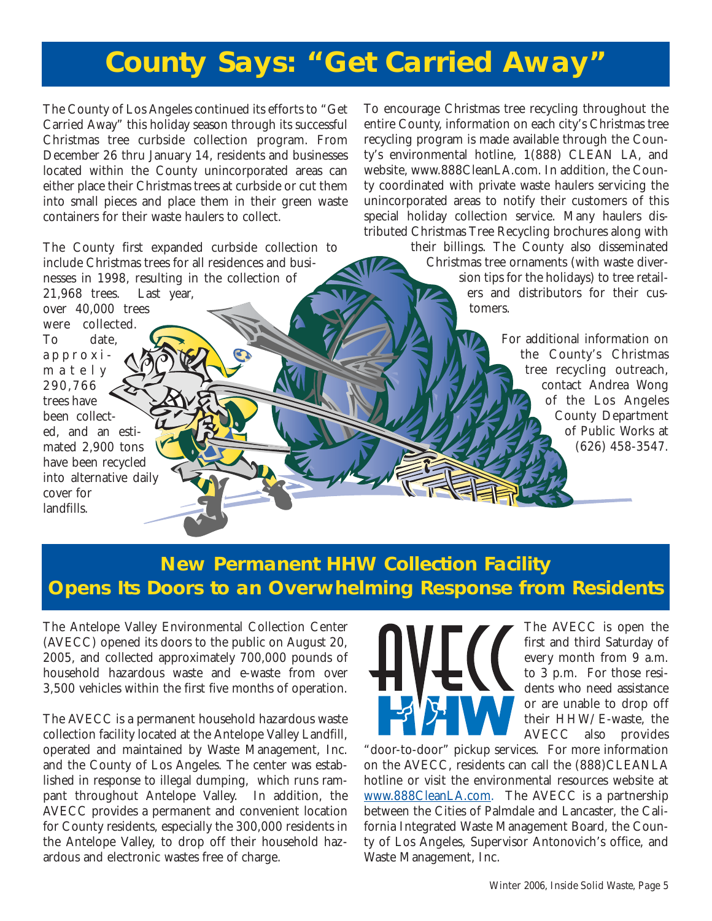## **County Says: "Get Carried Away"**

The County of Los Angeles continued its efforts to "Get Carried Away" this holiday season through its successful Christmas tree curbside collection program. From December 26 thru January 14, residents and businesses located within the County unincorporated areas can either place their Christmas trees at curbside or cut them into small pieces and place them in their green waste containers for their waste haulers to collect.

The County first expanded curbside collection to include Christmas trees for all residences and businesses in 1998, resulting in the collection of

21,968 trees. Last year, over 40,000 trees were collected. To date, approximately 290,766 trees have been collected, and an estimated 2,900 tons have been recycled into alternative daily cover for landfills.

To encourage Christmas tree recycling throughout the entire County, information on each city's Christmas tree recycling program is made available through the County's environmental hotline, 1(888) CLEAN LA, and website, [www.888CleanLA.com.](http://www.888CleanLA.com) In addition, the County coordinated with private waste haulers servicing the unincorporated areas to notify their customers of this special holiday collection service. Many haulers distributed Christmas Tree Recycling brochures along with

> their billings. The County also disseminated Christmas tree ornaments (with waste diversion tips for the holidays) to tree retailers and distributors for their customers.

> > For additional information on the County's Christmas tree recycling outreach, contact Andrea Wong of the Los Angeles County Department of Public Works at (626) 458-3547.

### **New Permanent HHW Collection Facility Opens Its Doors to an Overwhelming Response from Residents**

The Antelope Valley Environmental Collection Center (AVECC) opened its doors to the public on August 20, 2005, and collected approximately 700,000 pounds of household hazardous waste and e-waste from over 3,500 vehicles within the first five months of operation.

The AVECC is a permanent household hazardous waste collection facility located at the Antelope Valley Landfill, operated and maintained by Waste Management, Inc. and the County of Los Angeles. The center was established in response to illegal dumping, which runs rampant throughout Antelope Valley. In addition, the AVECC provides a permanent and convenient location for County residents, especially the 300,000 residents in the Antelope Valley, to drop off their household hazardous and electronic wastes free of charge.



The AVECC is open the first and third Saturday of every month from 9 a.m. to 3 p.m. For those residents who need assistance or are unable to drop off their HHW/E-waste, the AVECC also provides

"door-to-door" pickup services. For more information on the AVECC, residents can call the (888)CLEANLA hotline or visit the environmental resources website at [www.888CleanLA.com.](http://ladpw.org/epd/) The AVECC is a partnership between the Cities of Palmdale and Lancaster, the California Integrated Waste Management Board, the County of Los Angeles, Supervisor Antonovich's office, and Waste Management, Inc.